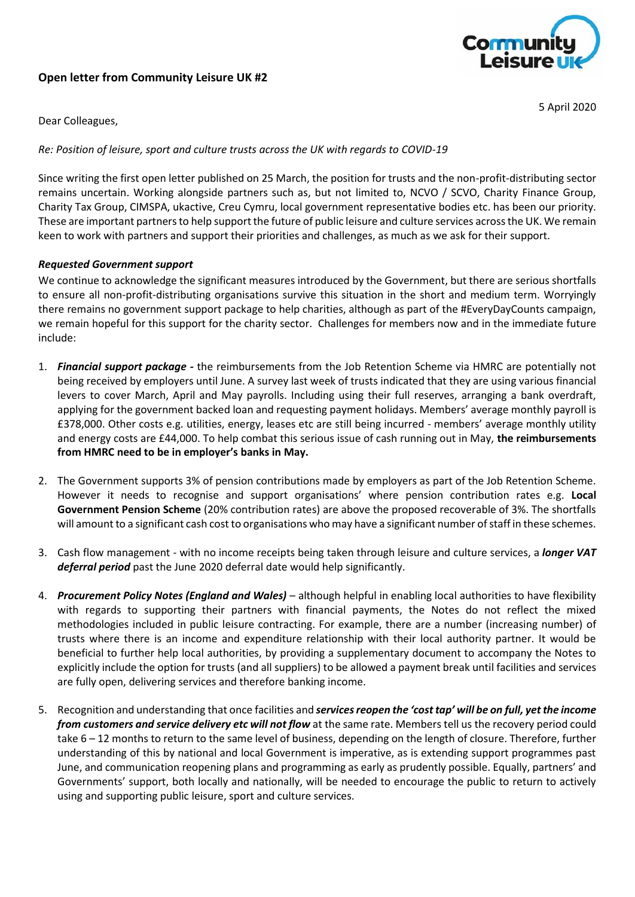# **Open letter from Community Leisure UK #2**



5 April 2020

Dear Colleagues,

*Re: Position of leisure, sport and culture trusts across the UK with regards to COVID-19*

Since writing the first open letter published on 25 March, the position for trusts and the non-profit-distributing sector remains uncertain. Working alongside partners such as, but not limited to, NCVO / SCVO, Charity Finance Group, Charity Tax Group, CIMSPA, ukactive, Creu Cymru, local government representative bodies etc. has been our priority. These are important partners to help support the future of public leisure and culture services across the UK. We remain keen to work with partners and support their priorities and challenges, as much as we ask for their support.

## *Requested Government support*

We continue to acknowledge the significant measures introduced by the Government, but there are serious shortfalls to ensure all non-profit-distributing organisations survive this situation in the short and medium term. Worryingly there remains no government support package to help charities, although as part of the #EveryDayCounts campaign, we remain hopeful for this support for the charity sector. Challenges for members now and in the immediate future include:

- 1. *Financial support package -* the reimbursements from the Job Retention Scheme via HMRC are potentially not being received by employers until June. A survey last week of trusts indicated that they are using various financial levers to cover March, April and May payrolls. Including using their full reserves, arranging a bank overdraft, applying for the government backed loan and requesting payment holidays. Members' average monthly payroll is £378,000. Other costs e.g. utilities, energy, leases etc are still being incurred - members' average monthly utility and energy costs are £44,000. To help combat this serious issue of cash running out in May, **the reimbursements from HMRC need to be in employer's banks in May.**
- 2. The Government supports 3% of pension contributions made by employers as part of the Job Retention Scheme. However it needs to recognise and support organisations' where pension contribution rates e.g. **Local Government Pension Scheme** (20% contribution rates) are above the proposed recoverable of 3%. The shortfalls will amount to a significant cash cost to organisations who may have a significant number of staff in these schemes.
- 3. Cash flow management with no income receipts being taken through leisure and culture services, a *longer VAT deferral period* past the June 2020 deferral date would help significantly.
- 4. *Procurement Policy Notes (England and Wales)* although helpful in enabling local authorities to have flexibility with regards to supporting their partners with financial payments, the Notes do not reflect the mixed methodologies included in public leisure contracting. For example, there are a number (increasing number) of trusts where there is an income and expenditure relationship with their local authority partner. It would be beneficial to further help local authorities, by providing a supplementary document to accompany the Notes to explicitly include the option for trusts (and all suppliers) to be allowed a payment break until facilities and services are fully open, delivering services and therefore banking income.
- 5. Recognition and understanding that once facilities and *services reopen the 'cost tap' will be on full, yet the income from customers and service delivery etc will not flow* at the same rate. Members tell us the recovery period could take 6 – 12 months to return to the same level of business, depending on the length of closure. Therefore, further understanding of this by national and local Government is imperative, as is extending support programmes past June, and communication reopening plans and programming as early as prudently possible. Equally, partners' and Governments' support, both locally and nationally, will be needed to encourage the public to return to actively using and supporting public leisure, sport and culture services.